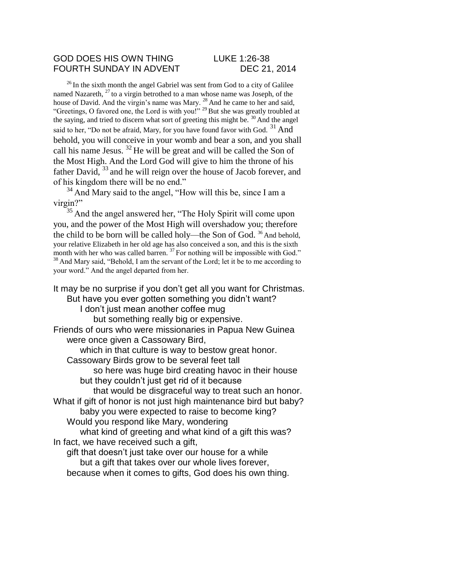#### GOD DOES HIS OWN THING LUKE 1:26-38 FOURTH SUNDAY IN ADVENT DEC 21, 2014

 $26$ In the sixth month the angel Gabriel was sent from God to a city of Galilee named Nazareth,  $^{27}$  to a virgin betrothed to a man whose name was Joseph, of the house of David. And the virgin's name was Mary.<sup>28</sup> And he came to her and said, "Greetings, O favored one, the Lord is with you!" <sup>29</sup> But she was greatly troubled at the saying, and tried to discern what sort of greeting this might be.  $30$  And the angel said to her, "Do not be afraid, Mary, for you have found favor with God.  $31$  And behold, you will conceive in your womb and bear a son, and you shall call his name Jesus.  $32$  He will be great and will be called the Son of the Most High. And the Lord God will give to him the throne of his father David,  $33$  and he will reign over the house of Jacob forever, and of his kingdom there will be no end."

 $34$  And Mary said to the angel, "How will this be, since I am a virgin?"

 $35$  And the angel answered her, "The Holy Spirit will come upon you, and the power of the Most High will overshadow you; therefore the child to be born will be called holy—the Son of God. <sup>36</sup> And behold, your relative Elizabeth in her old age has also conceived a son, and this is the sixth month with her who was called barren.  $37$  For nothing will be impossible with God." <sup>38</sup> And Mary said, "Behold, I am the servant of the Lord; let it be to me according to your word." And the angel departed from her.

It may be no surprise if you don't get all you want for Christmas. But have you ever gotten something you didn't want? I don't just mean another coffee mug but something really big or expensive. Friends of ours who were missionaries in Papua New Guinea were once given a Cassowary Bird, which in that culture is way to bestow great honor. Cassowary Birds grow to be several feet tall so here was huge bird creating havoc in their house but they couldn't just get rid of it because that would be disgraceful way to treat such an honor. What if gift of honor is not just high maintenance bird but baby? baby you were expected to raise to become king? Would you respond like Mary, wondering what kind of greeting and what kind of a gift this was? In fact, we have received such a gift, gift that doesn't just take over our house for a while but a gift that takes over our whole lives forever,

because when it comes to gifts, God does his own thing.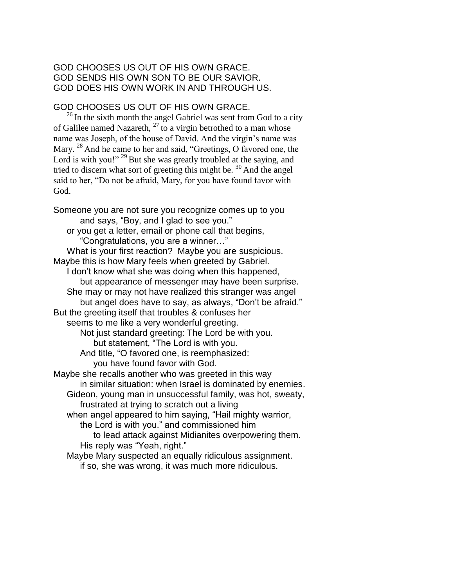## GOD CHOOSES US OUT OF HIS OWN GRACE. GOD SENDS HIS OWN SON TO BE OUR SAVIOR. GOD DOES HIS OWN WORK IN AND THROUGH US.

# GOD CHOOSES US OUT OF HIS OWN GRACE.

 $26$  In the sixth month the angel Gabriel was sent from God to a city of Galilee named Nazareth,  $27 \times 27$  to a virgin betrothed to a man whose name was Joseph, of the house of David. And the virgin's name was Mary. <sup>28</sup> And he came to her and said, "Greetings, O favored one, the Lord is with you!"  $^{29}$  But she was greatly troubled at the saying, and tried to discern what sort of greeting this might be.  $30$  And the angel said to her, "Do not be afraid, Mary, for you have found favor with God.

Someone you are not sure you recognize comes up to you and says, "Boy, and I glad to see you." or you get a letter, email or phone call that begins, "Congratulations, you are a winner…" What is your first reaction? Maybe you are suspicious. Maybe this is how Mary feels when greeted by Gabriel. I don't know what she was doing when this happened, but appearance of messenger may have been surprise. She may or may not have realized this stranger was angel but angel does have to say, as always, "Don't be afraid." But the greeting itself that troubles & confuses her seems to me like a very wonderful greeting. Not just standard greeting: The Lord be with you. but statement, "The Lord is with you. And title, "O favored one, is reemphasized: you have found favor with God. Maybe she recalls another who was greeted in this way in similar situation: when Israel is dominated by enemies. Gideon, young man in unsuccessful family, was hot, sweaty, frustrated at trying to scratch out a living when angel appeared to him saying, "Hail mighty warrior, the Lord is with you." and commissioned him to lead attack against Midianites overpowering them. His reply was "Yeah, right." Maybe Mary suspected an equally ridiculous assignment.

if so, she was wrong, it was much more ridiculous.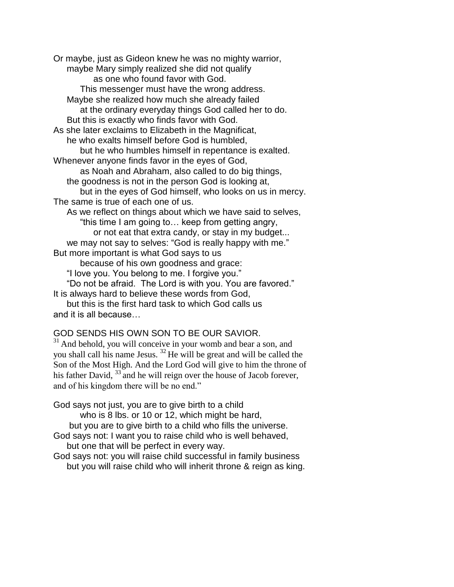Or maybe, just as Gideon knew he was no mighty warrior, maybe Mary simply realized she did not qualify as one who found favor with God. This messenger must have the wrong address. Maybe she realized how much she already failed at the ordinary everyday things God called her to do. But this is exactly who finds favor with God. As she later exclaims to Elizabeth in the Magnificat, he who exalts himself before God is humbled, but he who humbles himself in repentance is exalted. Whenever anyone finds favor in the eyes of God, as Noah and Abraham, also called to do big things, the goodness is not in the person God is looking at, but in the eyes of God himself, who looks on us in mercy. The same is true of each one of us. As we reflect on things about which we have said to selves, "this time I am going to… keep from getting angry, or not eat that extra candy, or stay in my budget... we may not say to selves: "God is really happy with me." But more important is what God says to us because of his own goodness and grace: "I love you. You belong to me. I forgive you." "Do not be afraid. The Lord is with you. You are favored."

It is always hard to believe these words from God, but this is the first hard task to which God calls us

and it is all because…

## GOD SENDS HIS OWN SON TO BE OUR SAVIOR.

 $31$  And behold, you will conceive in your womb and bear a son, and you shall call his name Jesus. <sup>32</sup> He will be great and will be called the Son of the Most High. And the Lord God will give to him the throne of his father David,  $33$  and he will reign over the house of Jacob forever, and of his kingdom there will be no end."

God says not just, you are to give birth to a child who is 8 lbs. or 10 or 12, which might be hard, but you are to give birth to a child who fills the universe. God says not: I want you to raise child who is well behaved, but one that will be perfect in every way. God says not: you will raise child successful in family business

but you will raise child who will inherit throne & reign as king.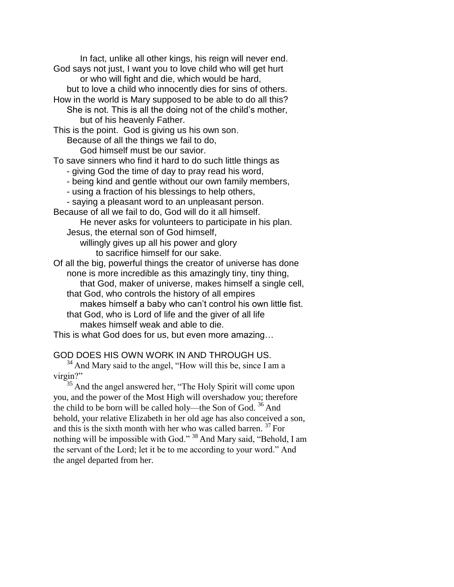In fact, unlike all other kings, his reign will never end. God says not just, I want you to love child who will get hurt or who will fight and die, which would be hard,

but to love a child who innocently dies for sins of others. How in the world is Mary supposed to be able to do all this? She is not. This is all the doing not of the child's mother,

but of his heavenly Father.

This is the point. God is giving us his own son.

Because of all the things we fail to do,

God himself must be our savior.

To save sinners who find it hard to do such little things as

- giving God the time of day to pray read his word,

- being kind and gentle without our own family members,

- using a fraction of his blessings to help others,

- saying a pleasant word to an unpleasant person.

Because of all we fail to do, God will do it all himself.

He never asks for volunteers to participate in his plan. Jesus, the eternal son of God himself,

willingly gives up all his power and glory

to sacrifice himself for our sake.

Of all the big, powerful things the creator of universe has done none is more incredible as this amazingly tiny, tiny thing, that God, maker of universe, makes himself a single cell,

that God, who controls the history of all empires

makes himself a baby who can't control his own little fist. that God, who is Lord of life and the giver of all life

makes himself weak and able to die.

This is what God does for us, but even more amazing…

## GOD DOES HIS OWN WORK IN AND THROUGH US.

 $34$  And Mary said to the angel, "How will this be, since I am a virgin?"

<sup>35</sup> And the angel answered her, "The Holy Spirit will come upon you, and the power of the Most High will overshadow you; therefore the child to be born will be called holy—the Son of God.<sup>36</sup> And behold, your relative Elizabeth in her old age has also conceived a son, and this is the sixth month with her who was called barren.  $37$  For nothing will be impossible with God."<sup>38</sup> And Mary said, "Behold, I am the servant of the Lord; let it be to me according to your word." And the angel departed from her.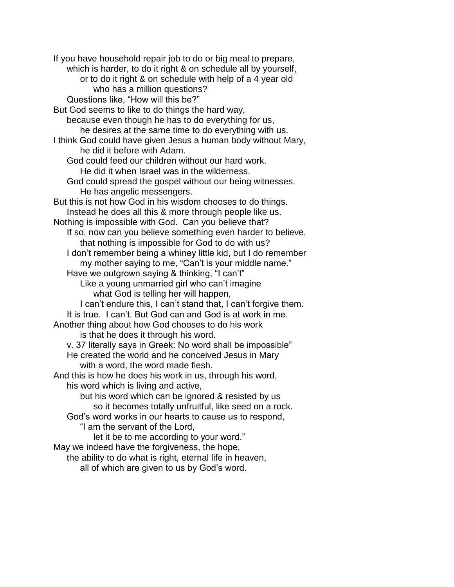If you have household repair job to do or big meal to prepare, which is harder, to do it right & on schedule all by yourself, or to do it right & on schedule with help of a 4 year old who has a million questions? Questions like, "How will this be?" But God seems to like to do things the hard way, because even though he has to do everything for us, he desires at the same time to do everything with us. I think God could have given Jesus a human body without Mary, he did it before with Adam. God could feed our children without our hard work. He did it when Israel was in the wilderness. God could spread the gospel without our being witnesses. He has angelic messengers. But this is not how God in his wisdom chooses to do things. Instead he does all this & more through people like us. Nothing is impossible with God. Can you believe that? If so, now can you believe something even harder to believe, that nothing is impossible for God to do with us? I don't remember being a whiney little kid, but I do remember my mother saying to me, "Can't is your middle name." Have we outgrown saying & thinking, "I can't" Like a young unmarried girl who can't imagine what God is telling her will happen, I can't endure this, I can't stand that, I can't forgive them. It is true. I can't. But God can and God is at work in me. Another thing about how God chooses to do his work is that he does it through his word. v. 37 literally says in Greek: No word shall be impossible" He created the world and he conceived Jesus in Mary with a word, the word made flesh. And this is how he does his work in us, through his word, his word which is living and active, but his word which can be ignored & resisted by us so it becomes totally unfruitful, like seed on a rock. God's word works in our hearts to cause us to respond, "I am the servant of the Lord, let it be to me according to your word." May we indeed have the forgiveness, the hope, the ability to do what is right, eternal life in heaven, all of which are given to us by God's word.